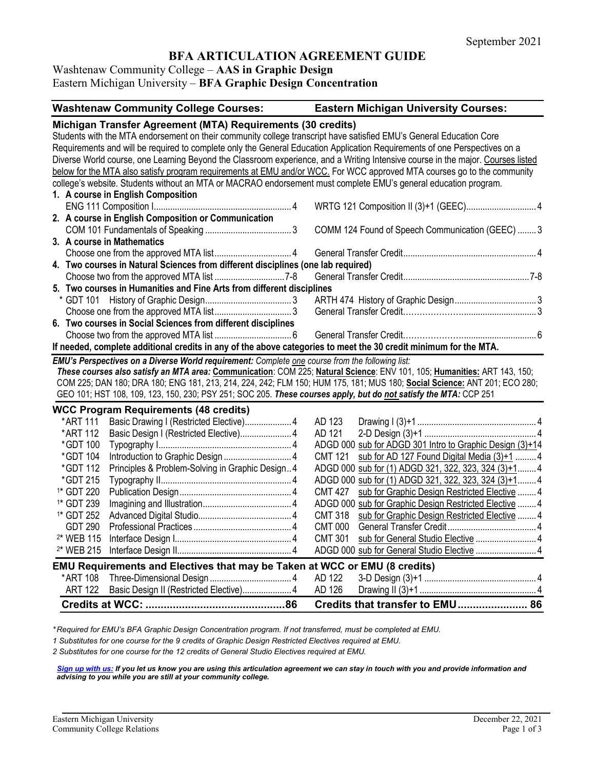# **BFA ARTICULATION AGREEMENT GUIDE**

Washtenaw Community College – **AAS in Graphic Design**

Eastern Michigan University – **BFA Graphic Design Concentration**

| <b>Washtenaw Community College Courses:</b>                                                                                                                                                                                                                                                                                                                                                                                                                                                                                                                                                                                                                                                       | <b>Eastern Michigan University Courses:</b>                     |
|---------------------------------------------------------------------------------------------------------------------------------------------------------------------------------------------------------------------------------------------------------------------------------------------------------------------------------------------------------------------------------------------------------------------------------------------------------------------------------------------------------------------------------------------------------------------------------------------------------------------------------------------------------------------------------------------------|-----------------------------------------------------------------|
| Michigan Transfer Agreement (MTA) Requirements (30 credits)<br>Students with the MTA endorsement on their community college transcript have satisfied EMU's General Education Core<br>Requirements and will be required to complete only the General Education Application Requirements of one Perspectives on a<br>Diverse World course, one Learning Beyond the Classroom experience, and a Writing Intensive course in the major. Courses listed<br>below for the MTA also satisfy program requirements at EMU and/or WCC. For WCC approved MTA courses go to the community<br>college's website. Students without an MTA or MACRAO endorsement must complete EMU's general education program. |                                                                 |
| 1. A course in English Composition                                                                                                                                                                                                                                                                                                                                                                                                                                                                                                                                                                                                                                                                |                                                                 |
| 2. A course in English Composition or Communication                                                                                                                                                                                                                                                                                                                                                                                                                                                                                                                                                                                                                                               |                                                                 |
|                                                                                                                                                                                                                                                                                                                                                                                                                                                                                                                                                                                                                                                                                                   | COMM 124 Found of Speech Communication (GEEC)  3                |
| 3. A course in Mathematics                                                                                                                                                                                                                                                                                                                                                                                                                                                                                                                                                                                                                                                                        |                                                                 |
|                                                                                                                                                                                                                                                                                                                                                                                                                                                                                                                                                                                                                                                                                                   |                                                                 |
| 4. Two courses in Natural Sciences from different disciplines (one lab required)                                                                                                                                                                                                                                                                                                                                                                                                                                                                                                                                                                                                                  |                                                                 |
|                                                                                                                                                                                                                                                                                                                                                                                                                                                                                                                                                                                                                                                                                                   |                                                                 |
| 5. Two courses in Humanities and Fine Arts from different disciplines                                                                                                                                                                                                                                                                                                                                                                                                                                                                                                                                                                                                                             |                                                                 |
|                                                                                                                                                                                                                                                                                                                                                                                                                                                                                                                                                                                                                                                                                                   |                                                                 |
|                                                                                                                                                                                                                                                                                                                                                                                                                                                                                                                                                                                                                                                                                                   |                                                                 |
| 6. Two courses in Social Sciences from different disciplines                                                                                                                                                                                                                                                                                                                                                                                                                                                                                                                                                                                                                                      |                                                                 |
|                                                                                                                                                                                                                                                                                                                                                                                                                                                                                                                                                                                                                                                                                                   |                                                                 |
| If needed, complete additional credits in any of the above categories to meet the 30 credit minimum for the MTA.                                                                                                                                                                                                                                                                                                                                                                                                                                                                                                                                                                                  |                                                                 |
| EMU's Perspectives on a Diverse World requirement: Complete one course from the following list:<br>These courses also satisfy an MTA area: Communication: COM 225; Natural Science: ENV 101, 105; Humanities: ART 143, 150;<br>COM 225; DAN 180; DRA 180; ENG 181, 213, 214, 224, 242; FLM 150; HUM 175, 181; MUS 180; Social Science: ANT 201; ECO 280;<br>GEO 101; HST 108, 109, 123, 150, 230; PSY 251; SOC 205. These courses apply, but do not satisfy the MTA: CCP 251                                                                                                                                                                                                                      |                                                                 |
| <b>WCC Program Requirements (48 credits)</b>                                                                                                                                                                                                                                                                                                                                                                                                                                                                                                                                                                                                                                                      |                                                                 |
| *ART 111<br>Basic Drawing I (Restricted Elective) 4                                                                                                                                                                                                                                                                                                                                                                                                                                                                                                                                                                                                                                               | AD 123                                                          |
| *ART 112<br>Basic Design I (Restricted Elective) 4                                                                                                                                                                                                                                                                                                                                                                                                                                                                                                                                                                                                                                                | AD 121                                                          |
| *GDT 100                                                                                                                                                                                                                                                                                                                                                                                                                                                                                                                                                                                                                                                                                          | ADGD 000 sub for ADGD 301 Intro to Graphic Design (3)+14        |
| *GDT 104                                                                                                                                                                                                                                                                                                                                                                                                                                                                                                                                                                                                                                                                                          | sub for AD 127 Found Digital Media (3)+1  4<br><b>CMT 121</b>   |
| Principles & Problem-Solving in Graphic Design 4<br>*GDT 112                                                                                                                                                                                                                                                                                                                                                                                                                                                                                                                                                                                                                                      | ADGD 000 sub for (1) ADGD 321, 322, 323, 324 (3)+1 4            |
| *GDT 215                                                                                                                                                                                                                                                                                                                                                                                                                                                                                                                                                                                                                                                                                          | ADGD 000 sub for (1) ADGD 321, 322, 323, 324 (3)+1 4            |
| <sup>1*</sup> GDT 220                                                                                                                                                                                                                                                                                                                                                                                                                                                                                                                                                                                                                                                                             | <b>CMT 427</b><br>sub for Graphic Design Restricted Elective  4 |
| <sup>1*</sup> GDT 239                                                                                                                                                                                                                                                                                                                                                                                                                                                                                                                                                                                                                                                                             | ADGD 000 sub for Graphic Design Restricted Elective  4          |
| <sup>1*</sup> GDT 252                                                                                                                                                                                                                                                                                                                                                                                                                                                                                                                                                                                                                                                                             | <b>CMT 318</b><br>sub for Graphic Design Restricted Elective  4 |
| <b>GDT 290</b><br><sup>2*</sup> WEB 115                                                                                                                                                                                                                                                                                                                                                                                                                                                                                                                                                                                                                                                           | <b>CMT 000</b>                                                  |
|                                                                                                                                                                                                                                                                                                                                                                                                                                                                                                                                                                                                                                                                                                   | CMT 301 sub for General Studio Elective 4                       |
| <sup>2*</sup> WEB 215                                                                                                                                                                                                                                                                                                                                                                                                                                                                                                                                                                                                                                                                             |                                                                 |
| EMU Requirements and Electives that may be Taken at WCC or EMU (8 credits)                                                                                                                                                                                                                                                                                                                                                                                                                                                                                                                                                                                                                        |                                                                 |
| *ART 108                                                                                                                                                                                                                                                                                                                                                                                                                                                                                                                                                                                                                                                                                          | AD 122                                                          |
| <b>ART 122</b><br>Basic Design II (Restricted Elective) 4                                                                                                                                                                                                                                                                                                                                                                                                                                                                                                                                                                                                                                         | AD 126                                                          |
|                                                                                                                                                                                                                                                                                                                                                                                                                                                                                                                                                                                                                                                                                                   | Credits that transfer to EMU 86                                 |

*\* Required for EMU's BFA Graphic Design Concentration program. If not transferred, must be completed at EMU.* 

*1 Substitutes for one course for the 9 credits of Graphic Design Restricted Electives required at EMU.*

*2 Substitutes for one course for the 12 credits of General Studio Electives required at EMU.*

*[Sign up with us:](https://www.emich.edu/ccr/articulation-agreements/signup.php) If you let us know you are using this articulation agreement we can stay in touch with you and provide information and advising to you while you are still at your community college.*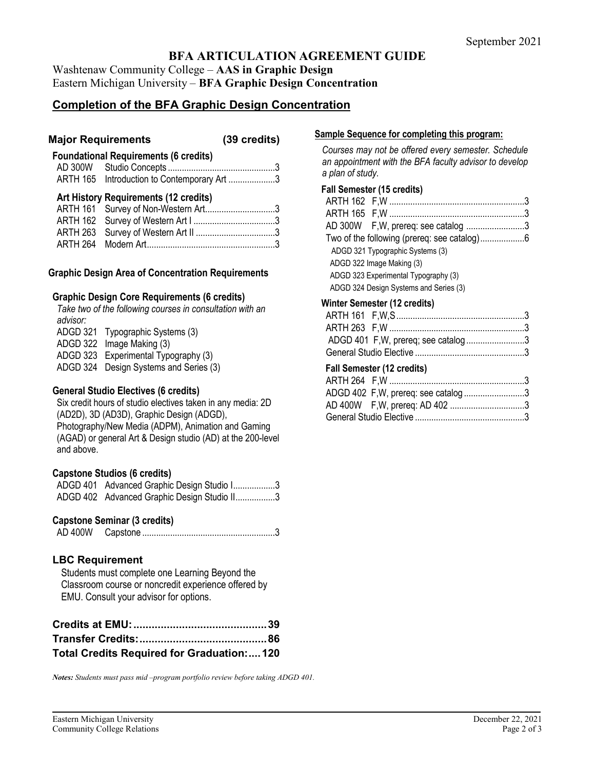# **BFA ARTICULATION AGREEMENT GUIDE**

Washtenaw Community College – **AAS in Graphic Design** Eastern Michigan University – **BFA Graphic Design Concentration**

# **Completion of the BFA Graphic Design Concentration**

## **Major Requirements (39 credits)**

# **Foundational Requirements (6 credits)**

AD 300W Studio Concepts ..............................................3 ARTH 165 Introduction to Contemporary Art ....................3

## **Art History Requirements (12 credits)**

| ARTH 161 Survey of Non-Western Art3 |  |
|-------------------------------------|--|
|                                     |  |
|                                     |  |
|                                     |  |

## **Graphic Design Area of Concentration Requirements**

## **Graphic Design Core Requirements (6 credits)**

*Take two of the following courses in consultation with an advisor:* ADGD 321 Typographic Systems (3) ADGD 322 Image Making (3) ADGD 323 Experimental Typography (3) ADGD 324 Design Systems and Series (3)

## **General Studio Electives (6 credits)**

Six credit hours of studio electives taken in any media: 2D (AD2D), 3D (AD3D), Graphic Design (ADGD), Photography/New Media (ADPM), Animation and Gaming (AGAD) or general Art & Design studio (AD) at the 200-level and above.

## **Capstone Studios (6 credits)**

| ADGD 401 Advanced Graphic Design Studio I3  |  |
|---------------------------------------------|--|
| ADGD 402 Advanced Graphic Design Studio II3 |  |

## **Capstone Seminar (3 credits)**

AD 400W Capstone .........................................................3

## **LBC Requirement**

Students must complete one Learning Beyond the Classroom course or noncredit experience offered by EMU. Consult your advisor for options.

| Total Credits Required for Graduation:120 |  |
|-------------------------------------------|--|

*Notes: Students must pass mid –program portfolio review before taking ADGD 401.* 

#### **Sample Sequence for completing this program:**

*Courses may not be offered every semester. Schedule an appointment with the BFA faculty advisor to develop a plan of study.*

#### **Fall Semester (15 credits)**

| AD 300W F, W, prereq: see catalog 3    |  |
|----------------------------------------|--|
|                                        |  |
| ADGD 321 Typographic Systems (3)       |  |
| ADGD 322 Image Making (3)              |  |
| ADGD 323 Experimental Typography (3)   |  |
| ADGD 324 Design Systems and Series (3) |  |
|                                        |  |

#### **Winter Semester (12 credits)**

| ADGD 401 F, W, prereq; see catalog 3 |  |
|--------------------------------------|--|
|                                      |  |
|                                      |  |

## **Fall Semester (12 credits)**

| ADGD 402 F, W, prereq: see catalog 3 |  |
|--------------------------------------|--|
|                                      |  |
|                                      |  |